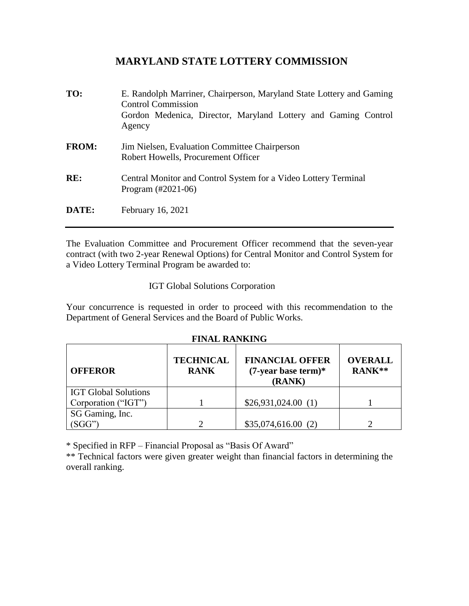# **MARYLAND STATE LOTTERY COMMISSION**

| TO:          | E. Randolph Marriner, Chairperson, Maryland State Lottery and Gaming<br><b>Control Commission</b><br>Gordon Medenica, Director, Maryland Lottery and Gaming Control<br>Agency |
|--------------|-------------------------------------------------------------------------------------------------------------------------------------------------------------------------------|
| <b>FROM:</b> | Jim Nielsen, Evaluation Committee Chairperson<br>Robert Howells, Procurement Officer                                                                                          |
| RE:          | Central Monitor and Control System for a Video Lottery Terminal<br>Program $(\text{\#}2021-06)$                                                                               |
| DATE:        | February 16, 2021                                                                                                                                                             |

The Evaluation Committee and Procurement Officer recommend that the seven-year contract (with two 2-year Renewal Options) for Central Monitor and Control System for a Video Lottery Terminal Program be awarded to:

### IGT Global Solutions Corporation

Your concurrence is requested in order to proceed with this recommendation to the Department of General Services and the Board of Public Works.

#### **FINAL RANKING**

| <b>OFFEROR</b>              | <b>TECHNICAL</b><br><b>RANK</b> | <b>FINANCIAL OFFER</b><br>$(7$ -year base term)*<br>(RANK) | <b>OVERALL</b><br>RANK** |
|-----------------------------|---------------------------------|------------------------------------------------------------|--------------------------|
| <b>IGT Global Solutions</b> |                                 |                                                            |                          |
| Corporation ("IGT")         |                                 | \$26,931,024.00(1)                                         |                          |
| SG Gaming, Inc.             |                                 |                                                            |                          |
| SGG"                        |                                 | \$35,074,616.00(2)                                         |                          |

\* Specified in RFP – Financial Proposal as "Basis Of Award"

\*\* Technical factors were given greater weight than financial factors in determining the overall ranking.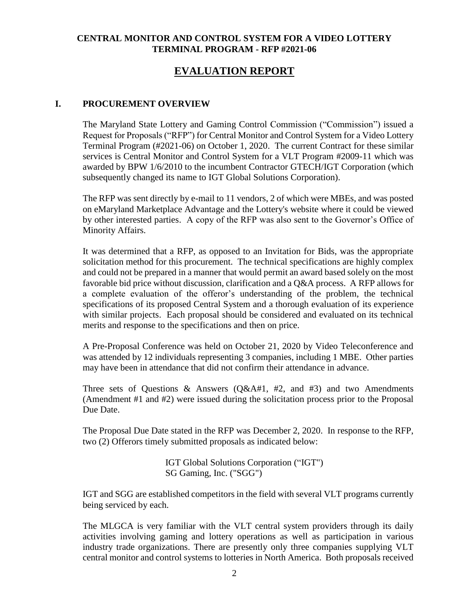## **CENTRAL MONITOR AND CONTROL SYSTEM FOR A VIDEO LOTTERY TERMINAL PROGRAM - RFP #2021-06**

# **EVALUATION REPORT**

#### **I. PROCUREMENT OVERVIEW**

The Maryland State Lottery and Gaming Control Commission ("Commission") issued a Request for Proposals ("RFP") for Central Monitor and Control System for a Video Lottery Terminal Program (#2021-06) on October 1, 2020. The current Contract for these similar services is Central Monitor and Control System for a VLT Program #2009-11 which was awarded by BPW 1/6/2010 to the incumbent Contractor GTECH/IGT Corporation (which subsequently changed its name to IGT Global Solutions Corporation).

The RFP was sent directly by e-mail to 11 vendors, 2 of which were MBEs, and was posted on eMaryland Marketplace Advantage and the Lottery's website where it could be viewed by other interested parties. A copy of the RFP was also sent to the Governor's Office of Minority Affairs.

It was determined that a RFP, as opposed to an Invitation for Bids, was the appropriate solicitation method for this procurement. The technical specifications are highly complex and could not be prepared in a manner that would permit an award based solely on the most favorable bid price without discussion, clarification and a Q&A process. A RFP allows for a complete evaluation of the offeror's understanding of the problem, the technical specifications of its proposed Central System and a thorough evaluation of its experience with similar projects. Each proposal should be considered and evaluated on its technical merits and response to the specifications and then on price.

A Pre-Proposal Conference was held on October 21, 2020 by Video Teleconference and was attended by 12 individuals representing 3 companies, including 1 MBE. Other parties may have been in attendance that did not confirm their attendance in advance.

Three sets of Questions & Answers  $(Q\&A#1, #2, and #3)$  and two Amendments (Amendment #1 and #2) were issued during the solicitation process prior to the Proposal Due Date.

The Proposal Due Date stated in the RFP was December 2, 2020. In response to the RFP, two (2) Offerors timely submitted proposals as indicated below:

> IGT Global Solutions Corporation ("IGT") SG Gaming, Inc. ("SGG")

IGT and SGG are established competitors in the field with several VLT programs currently being serviced by each.

The MLGCA is very familiar with the VLT central system providers through its daily activities involving gaming and lottery operations as well as participation in various industry trade organizations. There are presently only three companies supplying VLT central monitor and control systems to lotteries in North America. Both proposals received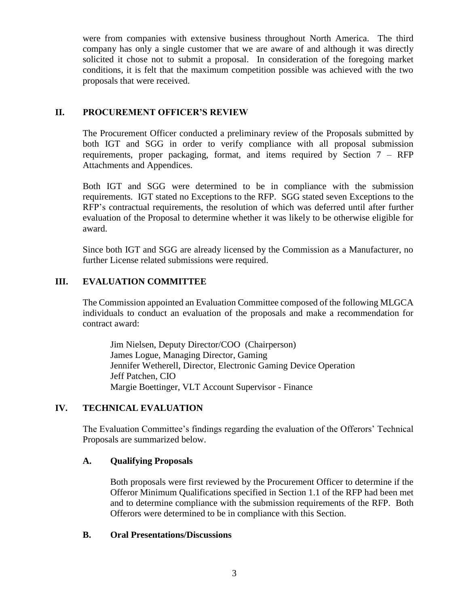were from companies with extensive business throughout North America. The third company has only a single customer that we are aware of and although it was directly solicited it chose not to submit a proposal. In consideration of the foregoing market conditions, it is felt that the maximum competition possible was achieved with the two proposals that were received.

## **II. PROCUREMENT OFFICER'S REVIEW**

The Procurement Officer conducted a preliminary review of the Proposals submitted by both IGT and SGG in order to verify compliance with all proposal submission requirements, proper packaging, format, and items required by Section 7 – RFP Attachments and Appendices.

Both IGT and SGG were determined to be in compliance with the submission requirements. IGT stated no Exceptions to the RFP. SGG stated seven Exceptions to the RFP's contractual requirements, the resolution of which was deferred until after further evaluation of the Proposal to determine whether it was likely to be otherwise eligible for award.

Since both IGT and SGG are already licensed by the Commission as a Manufacturer, no further License related submissions were required.

## **III. EVALUATION COMMITTEE**

The Commission appointed an Evaluation Committee composed of the following MLGCA individuals to conduct an evaluation of the proposals and make a recommendation for contract award:

Jim Nielsen, Deputy Director/COO (Chairperson) James Logue, Managing Director, Gaming Jennifer Wetherell, Director, Electronic Gaming Device Operation Jeff Patchen, CIO Margie Boettinger, VLT Account Supervisor - Finance

## **IV. TECHNICAL EVALUATION**

The Evaluation Committee's findings regarding the evaluation of the Offerors' Technical Proposals are summarized below.

## **A. Qualifying Proposals**

Both proposals were first reviewed by the Procurement Officer to determine if the Offeror Minimum Qualifications specified in Section 1.1 of the RFP had been met and to determine compliance with the submission requirements of the RFP. Both Offerors were determined to be in compliance with this Section.

## **B. Oral Presentations/Discussions**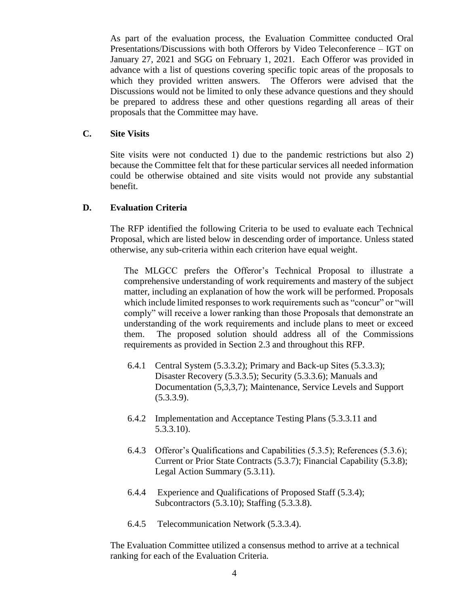As part of the evaluation process, the Evaluation Committee conducted Oral Presentations/Discussions with both Offerors by Video Teleconference – IGT on January 27, 2021 and SGG on February 1, 2021. Each Offeror was provided in advance with a list of questions covering specific topic areas of the proposals to which they provided written answers. The Offerors were advised that the Discussions would not be limited to only these advance questions and they should be prepared to address these and other questions regarding all areas of their proposals that the Committee may have.

#### **C. Site Visits**

Site visits were not conducted 1) due to the pandemic restrictions but also 2) because the Committee felt that for these particular services all needed information could be otherwise obtained and site visits would not provide any substantial benefit.

#### **D. Evaluation Criteria**

The RFP identified the following Criteria to be used to evaluate each Technical Proposal, which are listed below in descending order of importance. Unless stated otherwise, any sub-criteria within each criterion have equal weight.

The MLGCC prefers the Offeror's Technical Proposal to illustrate a comprehensive understanding of work requirements and mastery of the subject matter, including an explanation of how the work will be performed. Proposals which include limited responses to work requirements such as "concur" or "will comply" will receive a lower ranking than those Proposals that demonstrate an understanding of the work requirements and include plans to meet or exceed them. The proposed solution should address all of the Commissions requirements as provided in Section 2.3 and throughout this RFP.

- 6.4.1 Central System (5.3.3.2); Primary and Back-up Sites (5.3.3.3); Disaster Recovery (5.3.3.5); Security (5.3.3.6); Manuals and Documentation (5,3,3,7); Maintenance, Service Levels and Support  $(5.3.3.9)$ .
- 6.4.2 Implementation and Acceptance Testing Plans (5.3.3.11 and 5.3.3.10).
- 6.4.3 Offeror's Qualifications and Capabilities (5.3.5); References (5.3.6); Current or Prior State Contracts (5.3.7); Financial Capability (5.3.8); Legal Action Summary (5.3.11).
- 6.4.4 Experience and Qualifications of Proposed Staff (5.3.4); Subcontractors (5.3.10); Staffing (5.3.3.8).
- 6.4.5 Telecommunication Network (5.3.3.4).

The Evaluation Committee utilized a consensus method to arrive at a technical ranking for each of the Evaluation Criteria.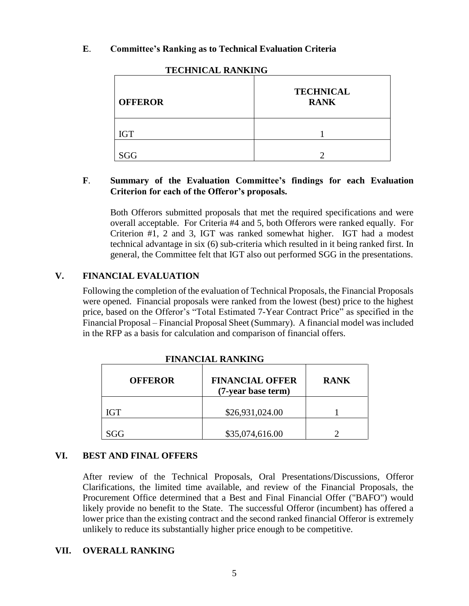### **E**. **Committee's Ranking as to Technical Evaluation Criteria**

| <b>OFFEROR</b> | <b>TECHNICAL</b><br><b>RANK</b> |  |  |
|----------------|---------------------------------|--|--|
| <b>IGT</b>     |                                 |  |  |
| SGG            |                                 |  |  |

#### **TECHNICAL RANKING**

### **F**. **Summary of the Evaluation Committee's findings for each Evaluation Criterion for each of the Offeror's proposals.**

Both Offerors submitted proposals that met the required specifications and were overall acceptable. For Criteria #4 and 5, both Offerors were ranked equally. For Criterion #1, 2 and 3, IGT was ranked somewhat higher. IGT had a modest technical advantage in six (6) sub-criteria which resulted in it being ranked first. In general, the Committee felt that IGT also out performed SGG in the presentations.

## **V. FINANCIAL EVALUATION**

Following the completion of the evaluation of Technical Proposals, the Financial Proposals were opened. Financial proposals were ranked from the lowest (best) price to the highest price, based on the Offeror's "Total Estimated 7-Year Contract Price" as specified in the Financial Proposal – Financial Proposal Sheet (Summary). A financial model was included in the RFP as a basis for calculation and comparison of financial offers.

| <b>OFFEROR</b> | <b>FINANCIAL OFFER</b><br>(7-year base term) | <b>RANK</b> |
|----------------|----------------------------------------------|-------------|
| <b>IGT</b>     | \$26,931,024.00                              |             |
| SGG            | \$35,074,616.00                              |             |

**FINANCIAL RANKING**

#### **VI. BEST AND FINAL OFFERS**

After review of the Technical Proposals, Oral Presentations/Discussions, Offeror Clarifications, the limited time available, and review of the Financial Proposals, the Procurement Office determined that a Best and Final Financial Offer ("BAFO") would likely provide no benefit to the State. The successful Offeror (incumbent) has offered a lower price than the existing contract and the second ranked financial Offeror is extremely unlikely to reduce its substantially higher price enough to be competitive.

#### **VII. OVERALL RANKING**